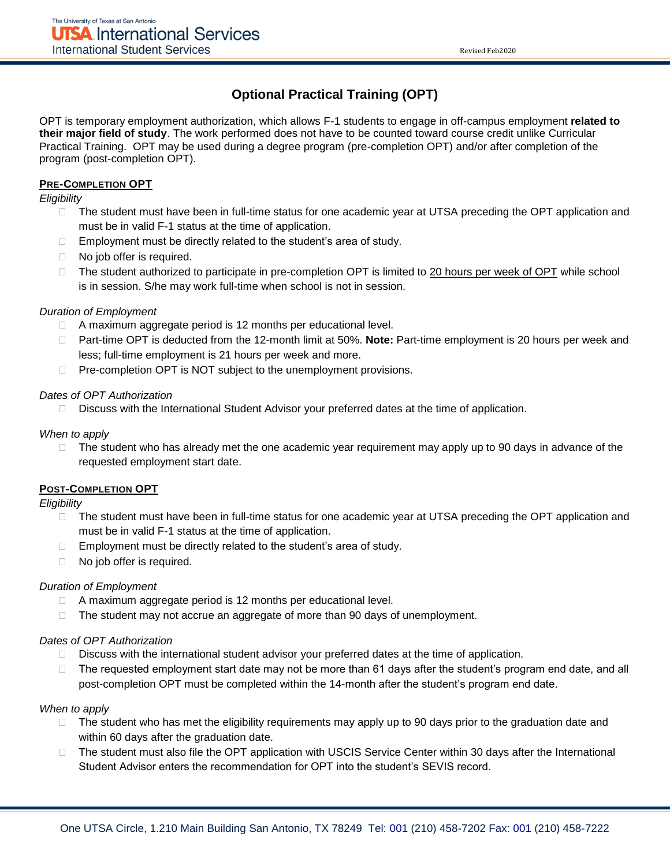# **Optional Practical Training (OPT)**

OPT is temporary employment authorization, which allows F-1 students to engage in off-campus employment **related to their major field of study**. The work performed does not have to be counted toward course credit unlike Curricular Practical Training. OPT may be used during a degree program (pre-completion OPT) and/or after completion of the program (post-completion OPT).

## **PRE-COMPLETION OPT**

*Eligibility* 

- $\Box$  The student must have been in full-time status for one academic year at UTSA preceding the OPT application and must be in valid F-1 status at the time of application.
- $\Box$  Employment must be directly related to the student's area of study.
- □ No job offer is required.
- $\Box$  The student authorized to participate in pre-completion OPT is limited to 20 hours per week of OPT while school is in session. S/he may work full-time when school is not in session.

### *Duration of Employment*

- □ A maximum aggregate period is 12 months per educational level.
- Part-time OPT is deducted from the 12-month limit at 50%. **Note:** Part-time employment is 20 hours per week and less; full-time employment is 21 hours per week and more.
- $\Box$  Pre-completion OPT is NOT subject to the unemployment provisions.

### *Dates of OPT Authorization*

Discuss with the International Student Advisor your preferred dates at the time of application.

#### *When to apply*

 $\Box$  The student who has already met the one academic year requirement may apply up to 90 days in advance of the requested employment start date.

## **POST-COMPLETION OPT**

*Eligibility* 

- □ The student must have been in full-time status for one academic year at UTSA preceding the OPT application and must be in valid F-1 status at the time of application.
- $\Box$  Employment must be directly related to the student's area of study.
- □ No job offer is required.

## *Duration of Employment*

- $\Box$  A maximum aggregate period is 12 months per educational level.
- $\Box$  The student may not accrue an aggregate of more than 90 days of unemployment.

#### *Dates of OPT Authorization*

- $\Box$  Discuss with the international student advisor your preferred dates at the time of application.
- The requested employment start date may not be more than 61 days after the student's program end date, and all post-completion OPT must be completed within the 14-month after the student's program end date.

#### *When to apply*

- $\Box$  The student who has met the eligibility requirements may apply up to 90 days prior to the graduation date and within 60 days after the graduation date.
- □ The student must also file the OPT application with USCIS Service Center within 30 days after the International Student Advisor enters the recommendation for OPT into the student's SEVIS record.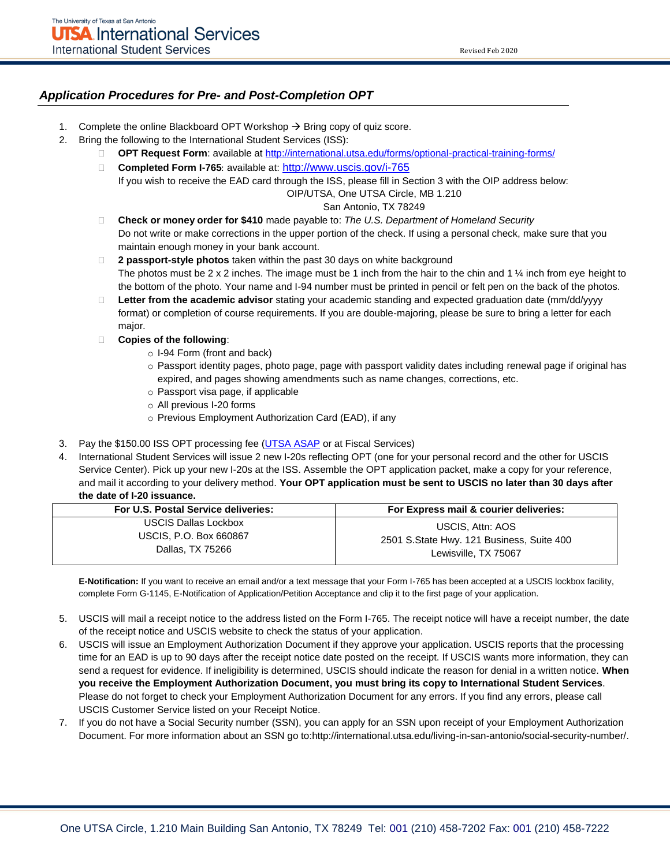### *Application Procedures for Pre- and Post-Completion OPT*

- 1. Complete the online Blackboard OPT Workshop  $\rightarrow$  Bring copy of quiz score.
- 2. Bring the following to the International Student Services (ISS):
	- **OPT Request Form**: available a[t http://international.utsa.edu/forms/optional-practical-training-forms/](http://international.utsa.edu/forms/optional-practical-training-forms/)
	- □ Completed Form I-765: available at: <http://www.uscis.gov/i-765>
	- If you wish to receive the EAD card through the ISS, please fill in Section 3 with the OIP address below: OIP/UTSA, One UTSA Circle, MB 1.210

#### San Antonio, TX 78249

- **Check or money order for \$410** made payable to: *The U.S. Department of Homeland Security* Do not write or make corrections in the upper portion of the check. If using a personal check, make sure that you maintain enough money in your bank account.
- **2 passport-style photos** taken within the past 30 days on white background The photos must be 2 x 2 inches. The image must be 1 inch from the hair to the chin and 1  $\frac{1}{4}$  inch from eye height to the bottom of the photo. Your name and I-94 number must be printed in pencil or felt pen on the back of the photos.
- **Letter from the academic advisor** stating your academic standing and expected graduation date (mm/dd/yyyy format) or completion of course requirements. If you are double-majoring, please be sure to bring a letter for each major.
- **Copies of the following**:
	- o I-94 Form (front and back)
	- o Passport identity pages, photo page, page with passport validity dates including renewal page if original has expired, and pages showing amendments such as name changes, corrections, etc.
	- o Passport visa page, if applicable
	- o All previous I-20 forms
	- o Previous Employment Authorization Card (EAD), if any
- 3. Pay the \$150.00 ISS OPT processing fee [\(UTSA ASAP](https://sso-cas.it.utsa.edu/cas/login?service=https%3A%2F%2Fasap.utsa.edu%3A7891%2Fssomanager%2Fc%2FSSB) or at Fiscal Services)
- 4. International Student Services will issue 2 new I-20s reflecting OPT (one for your personal record and the other for USCIS Service Center). Pick up your new I-20s at the ISS. Assemble the OPT application packet, make a copy for your reference, and mail it according to your delivery method. **Your OPT application must be sent to USCIS no later than 30 days after the date of I-20 issuance.**

| For U.S. Postal Service deliveries: | For Express mail & courier deliveries:    |
|-------------------------------------|-------------------------------------------|
| <b>USCIS Dallas Lockbox</b>         | USCIS, Attn: AOS                          |
| <b>USCIS, P.O. Box 660867</b>       | 2501 S.State Hwy. 121 Business, Suite 400 |
| Dallas, TX 75266                    | Lewisville, TX 75067                      |

**E-Notification:** If you want to receive an email and/or a text message that your Form I-765 has been accepted at a USCIS lockbox facility, complete Form G-1145, E-Notification of Application/Petition Acceptance and clip it to the first page of your application.

- 5. USCIS will mail a receipt notice to the address listed on the Form I-765. The receipt notice will have a receipt number, the date of the receipt notice and USCIS website to check the status of your application.
- 6. USCIS will issue an Employment Authorization Document if they approve your application. USCIS reports that the processing time for an EAD is up to 90 days after the receipt notice date posted on the receipt. If USCIS wants more information, they can send a request for evidence. If ineligibility is determined, USCIS should indicate the reason for denial in a written notice. **When you receive the Employment Authorization Document, you must bring its copy to International Student Services**. Please do not forget to check your Employment Authorization Document for any errors. If you find any errors, please call USCIS Customer Service listed on your Receipt Notice.
- 7. If you do not have a Social Security number (SSN), you can apply for an SSN upon receipt of your Employment Authorization Document. For more information about an SSN go to:http://international.utsa.edu/living-in-san-antonio/social-security-number/.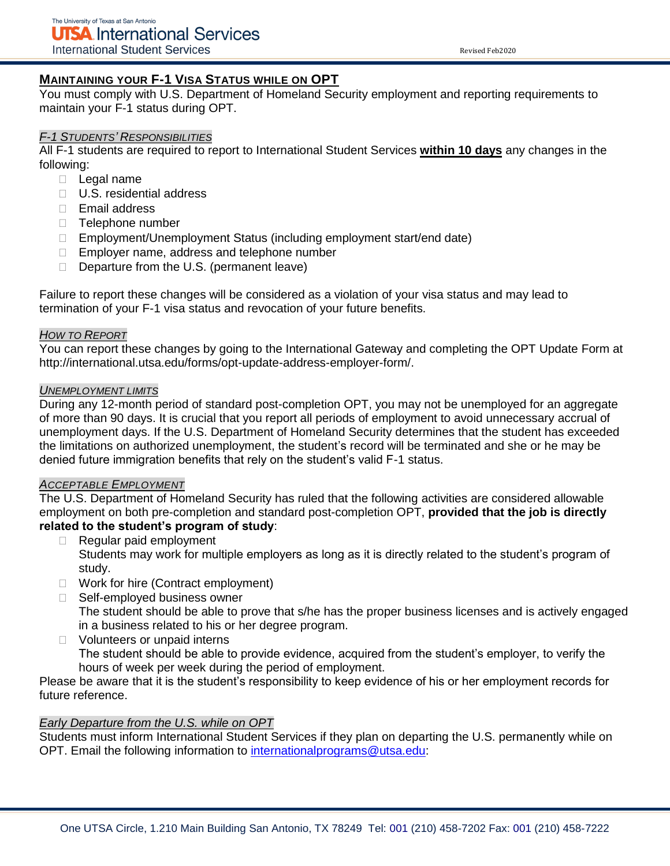## **MAINTAINING YOUR F-1 VISA STATUS WHILE ON OPT**

You must comply with U.S. Department of Homeland Security employment and reporting requirements to maintain your F-1 status during OPT.

### *F-1 STUDENTS' RESPONSIBILITIES*

All F-1 students are required to report to International Student Services **within 10 days** any changes in the following:

- D Legal name
- □ U.S. residential address
- $\Box$  Email address
- □ Telephone number
- □ Employment/Unemployment Status (including employment start/end date)
- □ Employer name, address and telephone number
- $\Box$  Departure from the U.S. (permanent leave)

Failure to report these changes will be considered as a violation of your visa status and may lead to termination of your F-1 visa status and revocation of your future benefits.

## *HOW TO REPORT*

You can report these changes by going to the International Gateway and completing the OPT Update Form at http://international.utsa.edu/forms/opt-update-address-employer-form/.

### *UNEMPLOYMENT LIMITS*

During any 12-month period of standard post-completion OPT, you may not be unemployed for an aggregate of more than 90 days. It is crucial that you report all periods of employment to avoid unnecessary accrual of unemployment days. If the U.S. Department of Homeland Security determines that the student has exceeded the limitations on authorized unemployment, the student's record will be terminated and she or he may be denied future immigration benefits that rely on the student's valid F-1 status.

#### *ACCEPTABLE EMPLOYMENT*

The U.S. Department of Homeland Security has ruled that the following activities are considered allowable employment on both pre-completion and standard post-completion OPT, **provided that the job is directly related to the student's program of study**:

- Regular paid employment Students may work for multiple employers as long as it is directly related to the student's program of study.
- □ Work for hire (Contract employment)
- □ Self-employed business owner The student should be able to prove that s/he has the proper business licenses and is actively engaged in a business related to his or her degree program.
- □ Volunteers or unpaid interns The student should be able to provide evidence, acquired from the student's employer, to verify the hours of week per week during the period of employment.

Please be aware that it is the student's responsibility to keep evidence of his or her employment records for future reference.

## *Early Departure from the U.S. while on OPT*

Students must inform International Student Services if they plan on departing the U.S. permanently while on OPT. Email the following information to [internationalprograms@utsa.edu:](mailto:internationalprograms@utsa.edu)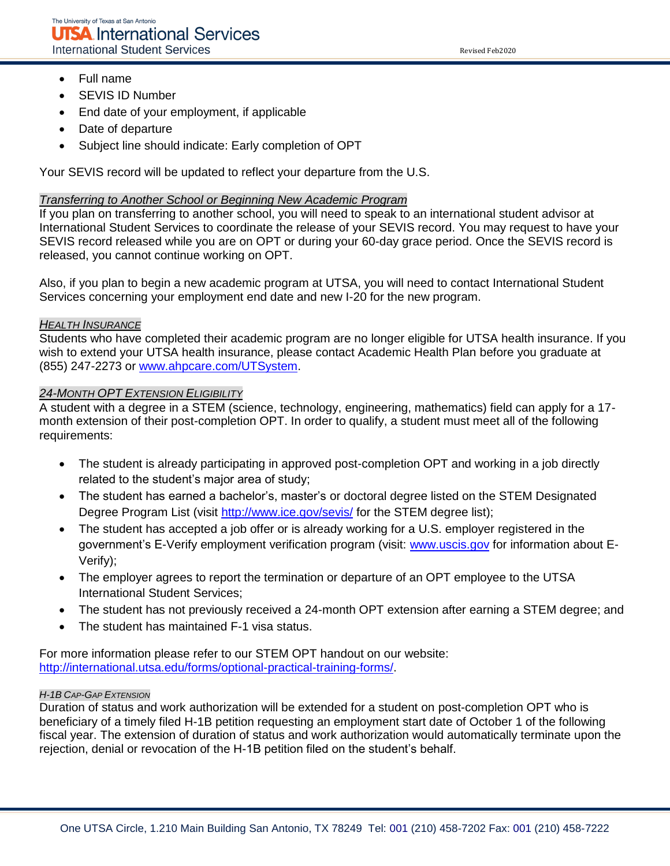Revised Feb2020

- Full name
- SEVIS ID Number
- End date of your employment, if applicable
- Date of departure
- Subject line should indicate: Early completion of OPT

Your SEVIS record will be updated to reflect your departure from the U.S.

#### *Transferring to Another School or Beginning New Academic Program*

If you plan on transferring to another school, you will need to speak to an international student advisor at International Student Services to coordinate the release of your SEVIS record. You may request to have your SEVIS record released while you are on OPT or during your 60-day grace period. Once the SEVIS record is released, you cannot continue working on OPT.

Also, if you plan to begin a new academic program at UTSA, you will need to contact International Student Services concerning your employment end date and new I-20 for the new program.

#### *HEALTH INSURANCE*

Students who have completed their academic program are no longer eligible for UTSA health insurance. If you wish to extend your UTSA health insurance, please contact Academic Health Plan before you graduate at (855) 247-2273 or [www.ahpcare.com/UTSystem.](http://www.ahpcare.com/UTSystem)

### *24-MONTH OPT EXTENSION ELIGIBILITY*

A student with a degree in a STEM (science, technology, engineering, mathematics) field can apply for a 17 month extension of their post-completion OPT. In order to qualify, a student must meet all of the following requirements:

- The student is already participating in approved post-completion OPT and working in a job directly related to the student's major area of study;
- The student has earned a bachelor's, master's or doctoral degree listed on the STEM Designated Degree Program List (visit<http://www.ice.gov/sevis/>for the STEM degree list);
- The student has accepted a job offer or is already working for a U.S. employer registered in the government's E-Verify employment verification program (visit: [www.uscis.gov](http://www.uscis.gov/) for information about E-Verify);
- The employer agrees to report the termination or departure of an OPT employee to the UTSA International Student Services;
- The student has not previously received a 24-month OPT extension after earning a STEM degree; and
- The student has maintained F-1 visa status.

For more information please refer to our STEM OPT handout on our website: [http://international.utsa.edu/forms/optional-practical-training-forms/.](http://international.utsa.edu/forms/optional-practical-training-forms/)

#### *H-1B CAP-GAP EXTENSION*

Duration of status and work authorization will be extended for a student on post-completion OPT who is beneficiary of a timely filed H-1B petition requesting an employment start date of October 1 of the following fiscal year. The extension of duration of status and work authorization would automatically terminate upon the rejection, denial or revocation of the H-1B petition filed on the student's behalf.